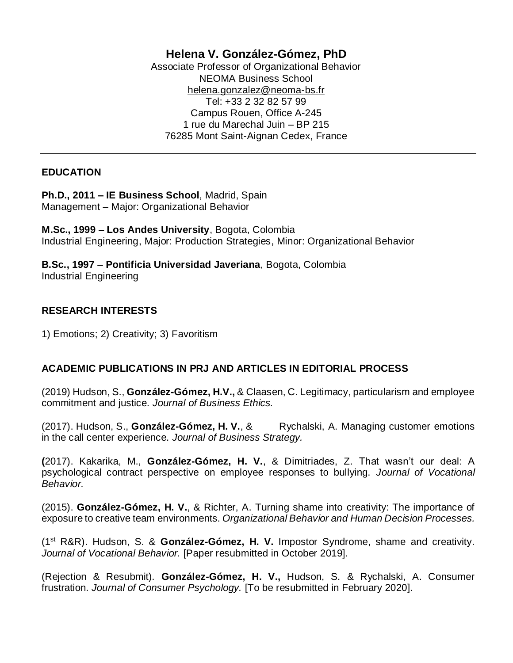# **Helena V. González-Gómez, PhD**

Associate Professor of Organizational Behavior NEOMA Business School [helena.gonzalez@neoma-bs.fr](mailto:helena.gonzalez@neoma-bs.fr) Tel: +33 2 32 82 57 99 Campus Rouen, Office A-245 1 rue du Marechal Juin – BP 215 76285 Mont Saint-Aignan Cedex, France

## **EDUCATION**

**Ph.D., 2011 – IE Business School**, Madrid, Spain Management – Major: Organizational Behavior

**M.Sc., 1999 – Los Andes University**, Bogota, Colombia Industrial Engineering, Major: Production Strategies, Minor: Organizational Behavior

**B.Sc., 1997 – Pontificia Universidad Javeriana**, Bogota, Colombia Industrial Engineering

## **RESEARCH INTERESTS**

1) Emotions; 2) Creativity; 3) Favoritism

## **ACADEMIC PUBLICATIONS IN PRJ AND ARTICLES IN EDITORIAL PROCESS**

(2019) Hudson, S., **González-Gómez, H.V.,** & Claasen, C. Legitimacy, particularism and employee commitment and justice. *Journal of Business Ethics.*

(2017). Hudson, S., González-Gómez, H. V., & Rychalski, A. Managing customer emotions in the call center experience. *Journal of Business Strategy.*

**(**2017). Kakarika, M., **González-Gómez, H. V.**, & Dimitriades, Z. That wasn't our deal: A psychological contract perspective on employee responses to bullying. *Journal of Vocational Behavior.*

(2015). **González-Gómez, H. V.**, & Richter, A. Turning shame into creativity: The importance of exposure to creative team environments. *Organizational Behavior and Human Decision Processes.*

(1st R&R). Hudson, S. & **González-Gómez, H. V.** Impostor Syndrome, shame and creativity. *Journal of Vocational Behavior.* [Paper resubmitted in October 2019].

(Rejection & Resubmit). **González-Gómez, H. V.,** Hudson, S. & Rychalski, A. Consumer frustration. *Journal of Consumer Psychology.* [To be resubmitted in February 2020].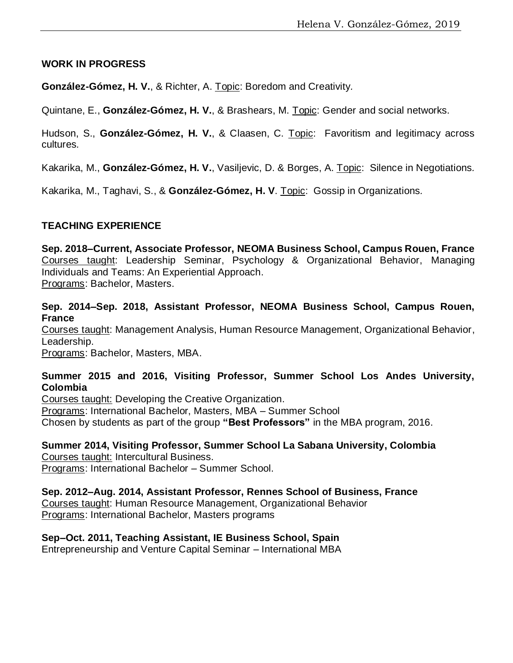#### **WORK IN PROGRESS**

**González-Gómez, H. V.**, & Richter, A. Topic: Boredom and Creativity*.*

Quintane, E., **González-Gómez, H. V.**, & Brashears, M. Topic: Gender and social networks.

Hudson, S., **González-Gómez, H. V.**, & Claasen, C. Topic: Favoritism and legitimacy across cultures*.*

Kakarika, M., **González-Gómez, H. V.**, Vasiljevic, D. & Borges, A. Topic: Silence in Negotiations*.*

Kakarika, M., Taghavi, S., & **González-Gómez, H. V**. Topic: Gossip in Organizations*.*

## **TEACHING EXPERIENCE**

**Sep. 2018–Current, Associate Professor, NEOMA Business School, Campus Rouen, France** Courses taught: Leadership Seminar, Psychology & Organizational Behavior, Managing Individuals and Teams: An Experiential Approach. Programs: Bachelor, Masters.

**Sep. 2014–Sep. 2018, Assistant Professor, NEOMA Business School, Campus Rouen, France**

Courses taught: Management Analysis, Human Resource Management, Organizational Behavior, Leadership.

Programs: Bachelor, Masters, MBA.

## **Summer 2015 and 2016, Visiting Professor, Summer School Los Andes University, Colombia**

Courses taught: Developing the Creative Organization. Programs: International Bachelor, Masters, MBA – Summer School Chosen by students as part of the group **"Best Professors"** in the MBA program, 2016.

**Summer 2014, Visiting Professor, Summer School La Sabana University, Colombia** Courses taught: Intercultural Business.

Programs: International Bachelor – Summer School.

**Sep. 2012–Aug. 2014, Assistant Professor, Rennes School of Business, France**

Courses taught: Human Resource Management, Organizational Behavior Programs: International Bachelor, Masters programs

## **Sep–Oct. 2011, Teaching Assistant, IE Business School, Spain**

Entrepreneurship and Venture Capital Seminar – International MBA